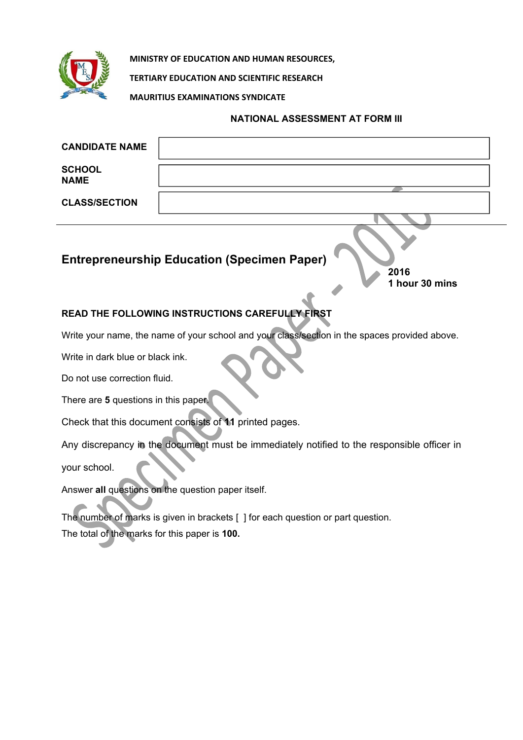

**MINISTRY OF EDUCATION AND HUMAN RESOURCES,**

**TERTIARY EDUCATION AND SCIENTIFIC RESEARCH**

**MAURITIUS EXAMINATIONS SYNDICATE**

## **NATIONAL ASSESSMENT AT FORM III**

| <b>CANDIDATE NAME</b>        |                                                                              |
|------------------------------|------------------------------------------------------------------------------|
| <b>SCHOOL</b><br><b>NAME</b> |                                                                              |
| <b>CLASS/SECTION</b>         |                                                                              |
|                              |                                                                              |
|                              | <b>Entrepreneurship Education (Specimen Paper)</b><br>2016<br>1 hour 30 mins |

## **READ THE FOLLOWING INSTRUCTIONS CAREFULLY FIRST**

Write your name, the name of your school and your class/section in the spaces provided above.

Write in dark blue or black ink.

Do not use correction fluid.

There are **5** questions in this paper.

Check that this document consists of **11** printed pages.

Any discrepancy in the document must be immediately notified to the responsible officer in your school.

Answer **all** questions on the question paper itself.

The number of marks is given in brackets [ ] for each question or part question. The total of the marks for this paper is **100.**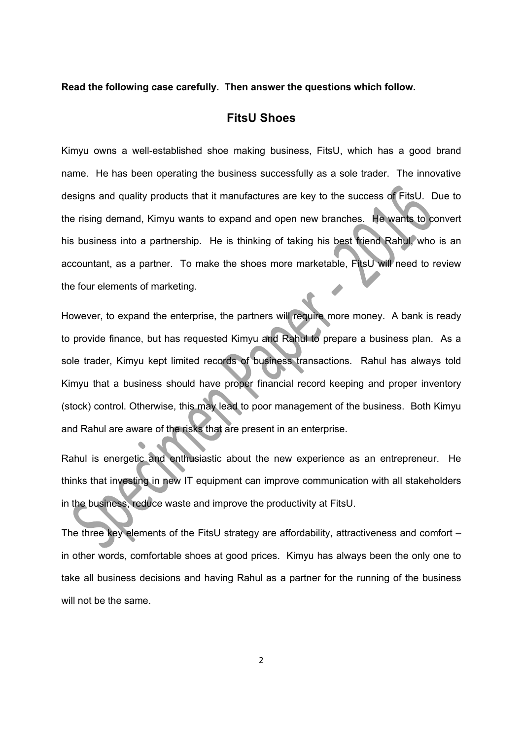#### **Read the following case carefully. Then answer the questions which follow.**

## **FitsU Shoes**

Kimyu owns a well-established shoe making business, FitsU, which has a good brand name. He has been operating the business successfully as a sole trader. The innovative designs and quality products that it manufactures are key to the success of FitsU. Due to the rising demand, Kimyu wants to expand and open new branches. He wants to convert his business into a partnership. He is thinking of taking his best friend Rahul, who is an accountant, as a partner. To make the shoes more marketable, FitsU will need to review the four elements of marketing.

However, to expand the enterprise, the partners will require more money. A bank is ready to provide finance, but has requested Kimyu and Rahul to prepare a business plan. As a sole trader, Kimyu kept limited records of business transactions. Rahul has always told Kimyu that a business should have proper financial record keeping and proper inventory (stock) control. Otherwise, this may lead to poor management of the business. Both Kimyu and Rahul are aware of the risks that are present in an enterprise.

Rahul is energetic and enthusiastic about the new experience as an entrepreneur. He thinks that investing in new IT equipment can improve communication with all stakeholders in the business, reduce waste and improve the productivity at FitsU.

The three key elements of the FitsU strategy are affordability, attractiveness and comfort – in other words, comfortable shoes at good prices. Kimyu has always been the only one to take all business decisions and having Rahul as a partner for the running of the business will not be the same.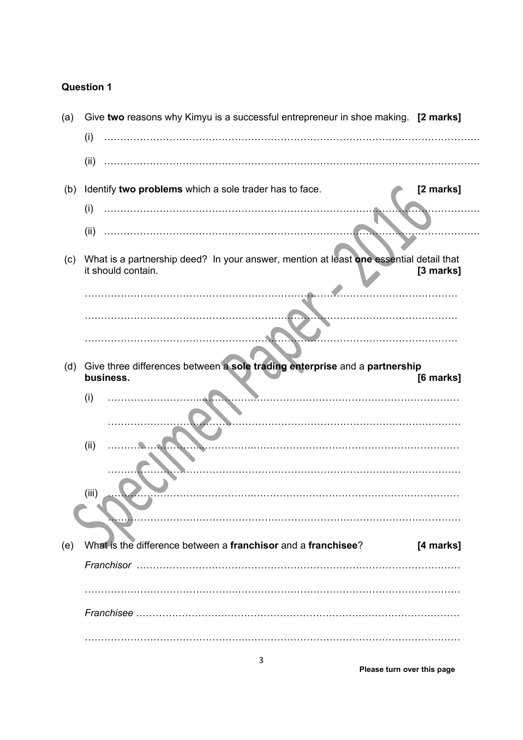| (a) | Give two reasons why Kimyu is a successful entrepreneur in shoe making. [2 marks]                            |           |
|-----|--------------------------------------------------------------------------------------------------------------|-----------|
|     | (i)                                                                                                          |           |
|     | (ii)                                                                                                         |           |
| (b) | Identify two problems which a sole trader has to face.                                                       | [2 marks] |
|     | (i)                                                                                                          |           |
|     | (ii)                                                                                                         |           |
| (c) | What is a partnership deed? In your answer, mention at least one essential detail that<br>it should contain. | [3 marks] |
|     |                                                                                                              |           |
|     |                                                                                                              |           |
|     |                                                                                                              |           |
| (d) | Give three differences between a sole trading enterprise and a partnership<br>business.                      | [6 marks] |
|     | (i)                                                                                                          |           |
|     |                                                                                                              |           |
|     | (ii)                                                                                                         |           |
|     |                                                                                                              |           |
|     | (iii)                                                                                                        |           |
|     |                                                                                                              |           |
|     |                                                                                                              |           |
| (e) |                                                                                                              |           |
|     | What is the difference between a franchisor and a franchisee?                                                | [4 marks] |
|     |                                                                                                              |           |
|     |                                                                                                              |           |
|     |                                                                                                              |           |

**Please turn over this page**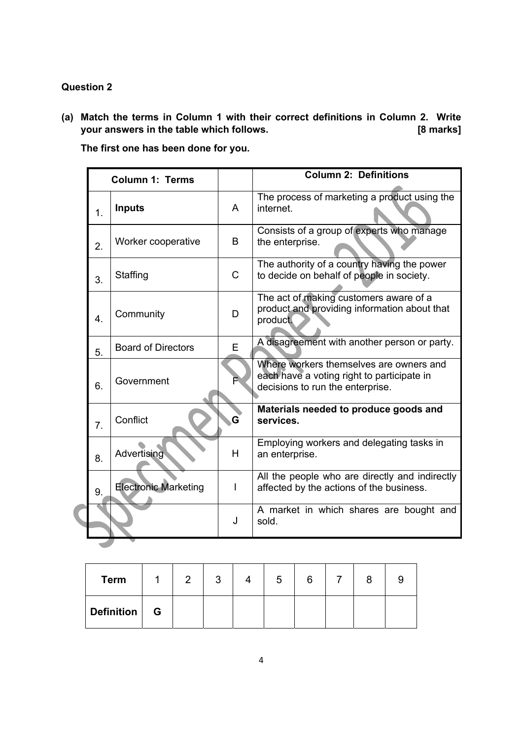**(a) Match the terms in Column 1 with their correct definitions in Column 2. Write your answers in the table which follows. [8 marks]** 

**The first one has been done for you.** 

| <b>Column 1: Terms</b> |                             |   | <b>Column 2: Definitions</b>                                                                                              |
|------------------------|-----------------------------|---|---------------------------------------------------------------------------------------------------------------------------|
| 1.                     | <b>Inputs</b>               | A | The process of marketing a product using the<br>internet.                                                                 |
| 2.                     | Worker cooperative          | B | Consists of a group of experts who manage<br>the enterprise.                                                              |
| 3.                     | Staffing                    | C | The authority of a country having the power<br>to decide on behalf of people in society.                                  |
| $\overline{4}$ .       | Community                   | D | The act of making customers aware of a<br>product and providing information about that<br>product.                        |
| 5.                     | <b>Board of Directors</b>   | E | A disagreement with another person or party.                                                                              |
| 6.                     | Government                  |   | Where workers themselves are owners and<br>each have a voting right to participate in<br>decisions to run the enterprise. |
| $\overline{7}$ .       | Conflict                    | G | Materials needed to produce goods and<br>services.                                                                        |
| 8.                     | Advertising                 | H | Employing workers and delegating tasks in<br>an enterprise.                                                               |
| 9.                     | <b>Electronic Marketing</b> | I | All the people who are directly and indirectly<br>affected by the actions of the business.                                |
|                        |                             | J | A market in which shares are bought and<br>sold.                                                                          |
|                        |                             |   |                                                                                                                           |

| <b>Term</b> |   | ົ | າ<br>ື | 5 | 6 |  |  |
|-------------|---|---|--------|---|---|--|--|
| Definition  | G |   |        |   |   |  |  |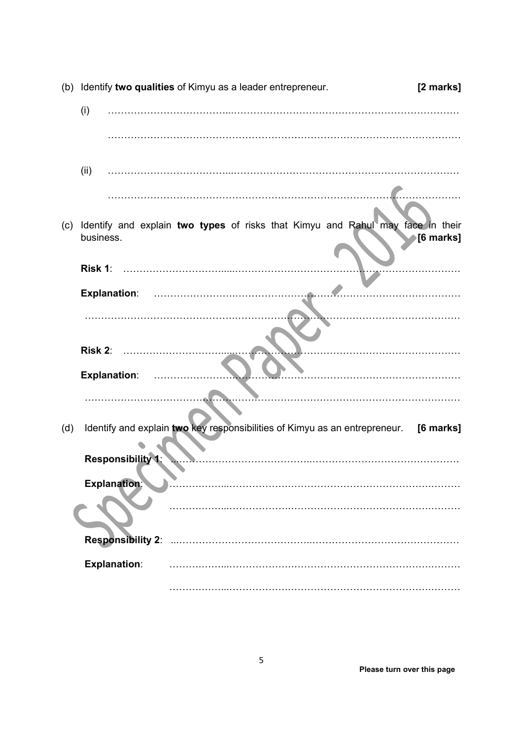|     |                          | (b) Identify two qualities of Kimyu as a leader entrepreneur.                        | [2 marks]        |
|-----|--------------------------|--------------------------------------------------------------------------------------|------------------|
|     | (i)                      |                                                                                      |                  |
|     |                          |                                                                                      |                  |
|     | (ii)                     |                                                                                      |                  |
|     |                          |                                                                                      |                  |
| (c) | business.                | Identify and explain two types of risks that Kimyu and Rahul may face in their       | <b>[6 marks]</b> |
|     | Risk 1:                  |                                                                                      |                  |
|     | <b>Explanation:</b>      |                                                                                      |                  |
|     |                          |                                                                                      |                  |
|     | Risk 2:                  |                                                                                      |                  |
|     | <b>Explanation:</b>      |                                                                                      |                  |
|     |                          |                                                                                      |                  |
| (d) |                          | Identify and explain two key responsibilities of Kimyu as an entrepreneur. [6 marks] |                  |
|     | <b>Responsibility 1:</b> |                                                                                      |                  |
|     | <b>Explanation:</b>      |                                                                                      |                  |
|     |                          |                                                                                      |                  |
|     | <b>Responsibility 2:</b> |                                                                                      |                  |
|     | <b>Explanation:</b>      |                                                                                      |                  |
|     |                          |                                                                                      |                  |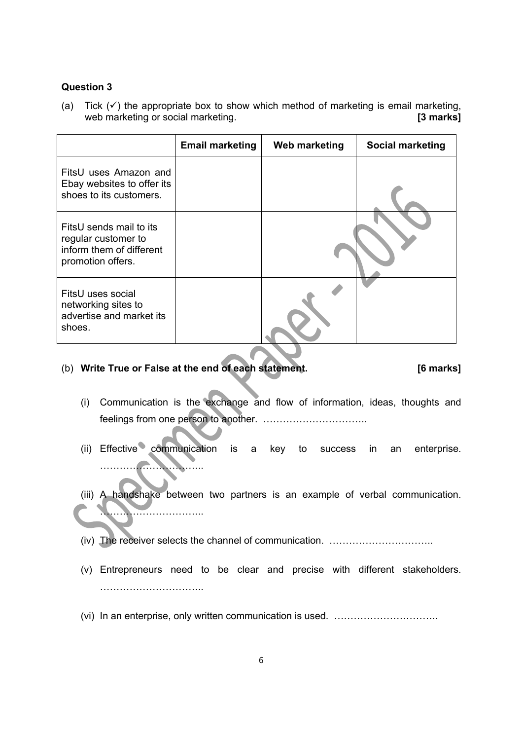(a) Tick  $(\checkmark)$  the appropriate box to show which method of marketing is email marketing, web marketing or social marketing. **[3 marks]**

|                                                                                                 | <b>Email marketing</b> | Web marketing | <b>Social marketing</b> |
|-------------------------------------------------------------------------------------------------|------------------------|---------------|-------------------------|
| FitsU uses Amazon and<br>Ebay websites to offer its<br>shoes to its customers.                  |                        |               |                         |
| FitsU sends mail to its<br>regular customer to<br>inform them of different<br>promotion offers. |                        |               |                         |
| FitsU uses social<br>networking sites to<br>advertise and market its<br>shoes.                  |                        |               |                         |

#### (b) **Write True or False at the end of each statement. [6 marks]**

- (i) Communication is the exchange and flow of information, ideas, thoughts and feelings from one person to another. …………………………..
- (ii) Effective communication is a key to success in an enterprise. …………………………..
- (iii) A handshake between two partners is an example of verbal communication. ………………………
- (iv) The receiver selects the channel of communication. …………………………..
- (v) Entrepreneurs need to be clear and precise with different stakeholders. …………………………..
- (vi) In an enterprise, only written communication is used. …………………………..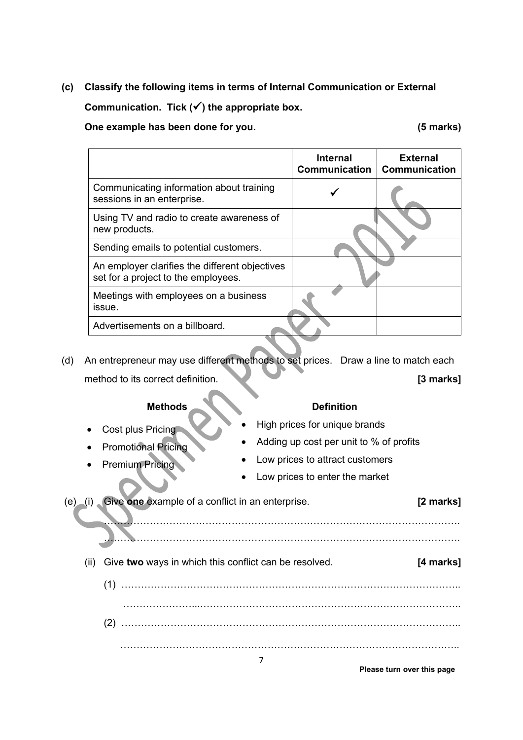**(c) Classify the following items in terms of Internal Communication or External** 

Communication. Tick  $(\checkmark)$  the appropriate box.

**One example has been done for you.** 

|  | (5 marks) |
|--|-----------|
|--|-----------|

|                                                                                       | <b>Internal</b><br>Communication | <b>External</b><br><b>Communication</b> |
|---------------------------------------------------------------------------------------|----------------------------------|-----------------------------------------|
| Communicating information about training<br>sessions in an enterprise.                |                                  |                                         |
| Using TV and radio to create awareness of<br>new products.                            |                                  |                                         |
| Sending emails to potential customers.                                                |                                  |                                         |
| An employer clarifies the different objectives<br>set for a project to the employees. |                                  |                                         |
| Meetings with employees on a business<br>issue.                                       |                                  |                                         |
| Advertisements on a billboard.                                                        |                                  |                                         |

(d) An entrepreneur may use different methods to set prices. Draw a line to match each method to its correct definition. **[3 marks]** 

#### **Methods** Definition

- Cost plus Pricing **Cost plus Pricing 2008 High prices for unique brands**
- Promotional Pricing <br>
Adding up cost per unit to % of profits
- Premium Pricing **COVID-19 COVID-20 COVID-20 COVID-20 COVID-20 COVID-20 COVID-20 COVID-20 COVID-20 COVID-20 COV** 
	- Low prices to enter the market

 (e) (i) Give **one** example of a conflict in an enterprise. **[2 marks]** ………………………………………………………………………………………………. ………………………………………………………………………………………………. (ii) Give **two** ways in which this conflict can be resolved. **[4 marks]** (1) ………………………………………………………………………………………….. …………………...……………………………………………………………………..

(2) ………………………………………………………………………………………….. …………………………………………………………………………………………..

**Please turn over this page**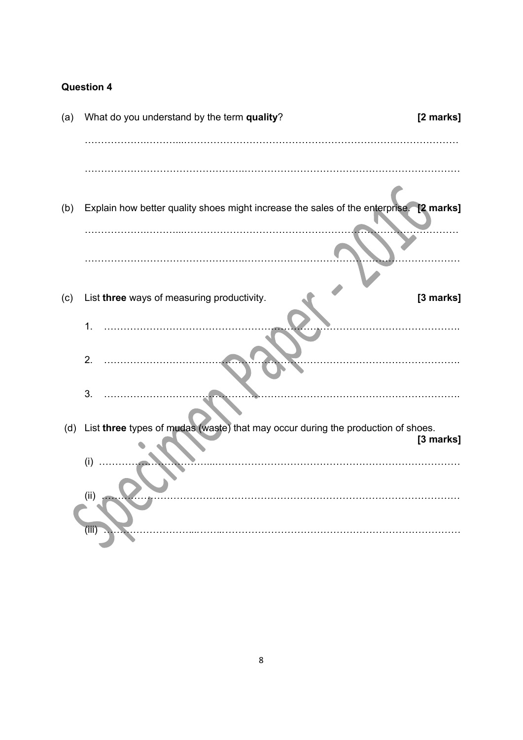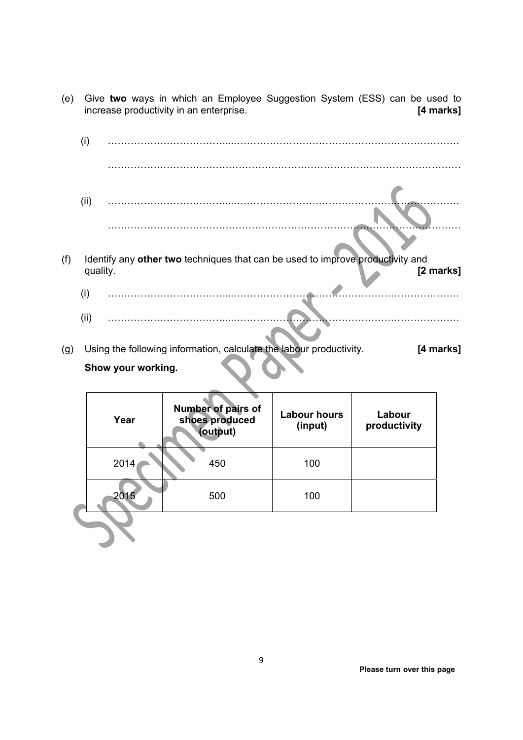- (e) Give **two** ways in which an Employee Suggestion System (ESS) can be used to increase productivity in an enterprise. **[4 marks]** 
	- (i) ………………………………...…………………………………………………………… ……………………………………………………………………………………………… (ii) ………………………………...…………………………………………………………… ………………………………………………………………………………………………
- (f) Identify any **other two** techniques that can be used to improve productivity and quality. **[2 marks]** 
	- (i) ………………………………...……………………………………………………………
	- (ii) ………………………………...……………………………………………………………
- (g) Using the following information, calculate the labour productivity. **[4 marks] Show your working.**

| Year | Number of pairs of<br>shoes produced<br>(output) | <b>Labour hours</b><br>(input) | Labour<br>productivity |
|------|--------------------------------------------------|--------------------------------|------------------------|
| 2014 | 450                                              | 100                            |                        |
| 2015 | 500                                              | 100                            |                        |
|      |                                                  |                                |                        |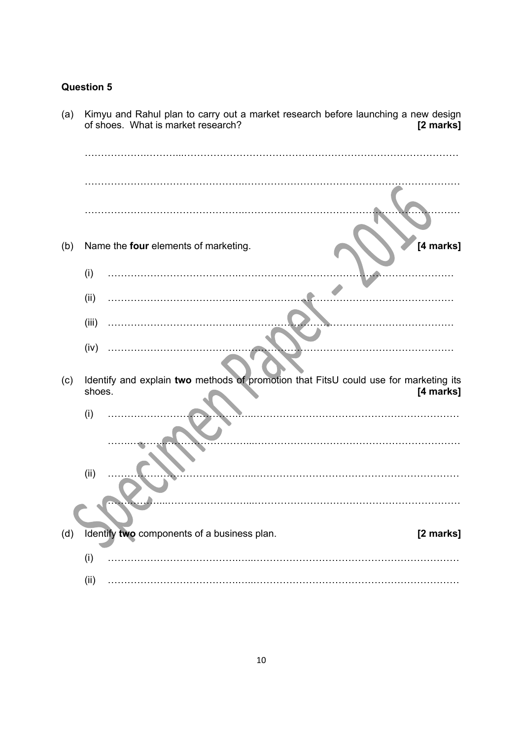| (d) | King and Ranui plan to carry out a market research belore launching a new design<br>of shoes. What is market research?<br>[2 marks] |  |
|-----|-------------------------------------------------------------------------------------------------------------------------------------|--|
|     |                                                                                                                                     |  |
|     |                                                                                                                                     |  |
|     |                                                                                                                                     |  |
| (b) | [4 marks]<br>Name the four elements of marketing.                                                                                   |  |
|     | (i)                                                                                                                                 |  |
|     | (ii)                                                                                                                                |  |
|     | (iii)                                                                                                                               |  |
|     | (iv)                                                                                                                                |  |
| (c) | Identify and explain two methods of promotion that FitsU could use for marketing its<br>shoes.<br>[4 marks]                         |  |
|     | (i)                                                                                                                                 |  |
|     |                                                                                                                                     |  |
|     | (ii)                                                                                                                                |  |
|     |                                                                                                                                     |  |
| (d) | Identify two components of a business plan.<br>[2 marks]                                                                            |  |
|     | (i)                                                                                                                                 |  |
|     | (ii)                                                                                                                                |  |